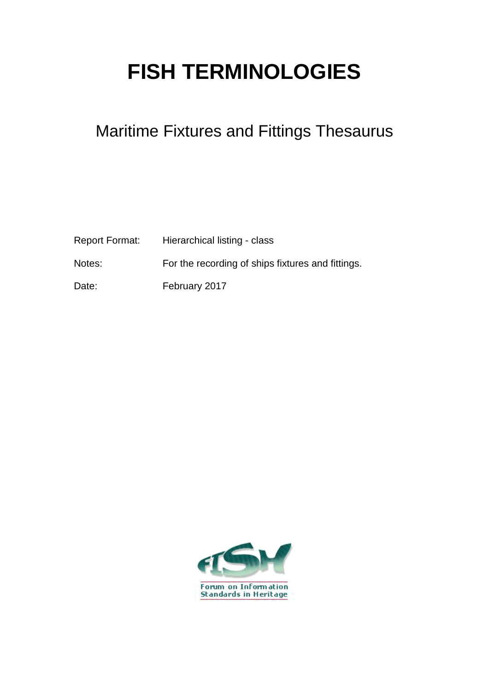## **FISH TERMINOLOGIES**

## Maritime Fixtures and Fittings Thesaurus

| Report Format: | Hierarchical listing - class                      |
|----------------|---------------------------------------------------|
| Notes:         | For the recording of ships fixtures and fittings. |
| Date:          | February 2017                                     |

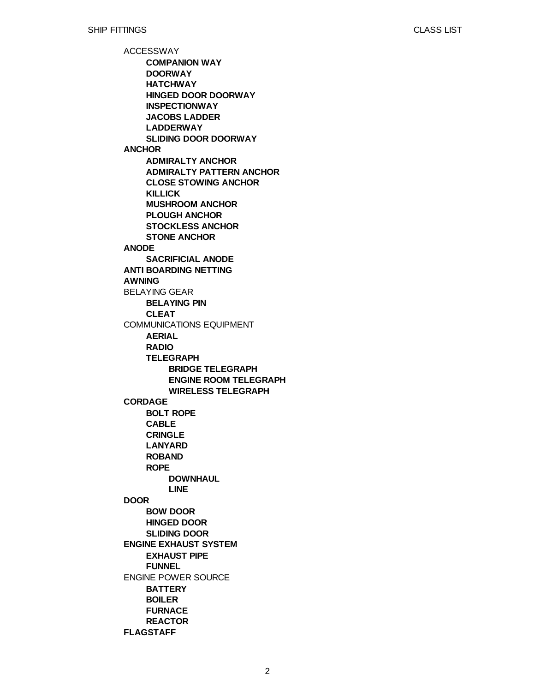ACCESSWAY **ANCHOR ANODE ANTI BOARDING NETTING AWNING** BELAYING GEAR COMMUNICATIONS EQUIPMENT **CORDAGE DOOR ENGINE EXHAUST SYSTEM** ENGINE POWER SOURCE **FLAGSTAFF COMPANION WAY DOORWAY HATCHWAY HINGED DOOR DOORWAY INSPECTIONWAY JACOBS LADDER LADDERWAY SLIDING DOOR DOORWAY ADMIRALTY ANCHOR ADMIRALTY PATTERN ANCHOR CLOSE STOWING ANCHOR KILLICK MUSHROOM ANCHOR PLOUGH ANCHOR STOCKLESS ANCHOR STONE ANCHOR SACRIFICIAL ANODE BELAYING PIN CLEAT AERIAL RADIO TELEGRAPH BOLT ROPE CABLE CRINGLE LANYARD ROBAND ROPE BOW DOOR HINGED DOOR SLIDING DOOR EXHAUST PIPE FUNNEL BATTERY BOILER FURNACE REACTOR BRIDGE TELEGRAPH ENGINE ROOM TELEGRAPH WIRELESS TELEGRAPH DOWNHAUL LINE**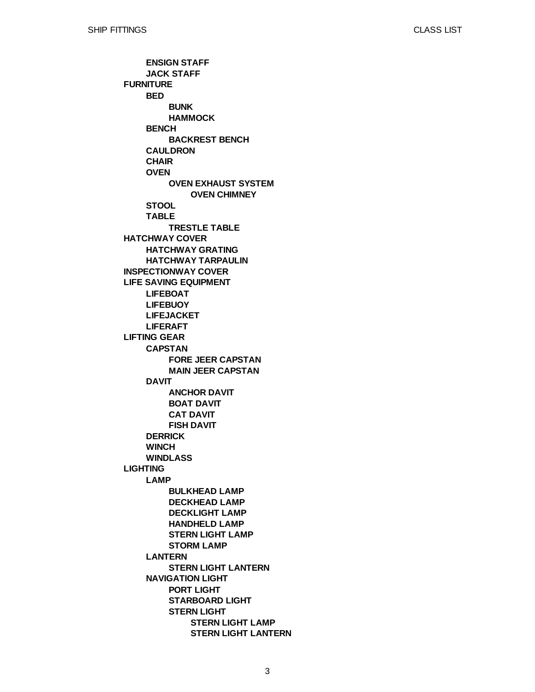**FURNITURE HATCHWAY COVER INSPECTIONWAY COVER LIFE SAVING EQUIPMENT LIFTING GEAR LIGHTING ENSIGN STAFF JACK STAFF BED BENCH CAULDRON CHAIR OVEN STOOL TABLE HATCHWAY GRATING HATCHWAY TARPAULIN LIFEBOAT LIFEBUOY LIFEJACKET LIFERAFT CAPSTAN DAVIT DERRICK WINCH WINDLASS LAMP LANTERN NAVIGATION LIGHT BUNK HAMMOCK BACKREST BENCH OVEN EXHAUST SYSTEM TRESTLE TABLE FORE JEER CAPSTAN MAIN JEER CAPSTAN ANCHOR DAVIT BOAT DAVIT CAT DAVIT FISH DAVIT BULKHEAD LAMP DECKHEAD LAMP DECKLIGHT LAMP HANDHELD LAMP STERN LIGHT LAMP STORM LAMP STERN LIGHT LANTERN PORT LIGHT STARBOARD LIGHT STERN LIGHT OVEN CHIMNEY STERN LIGHT LAMP STERN LIGHT LANTERN**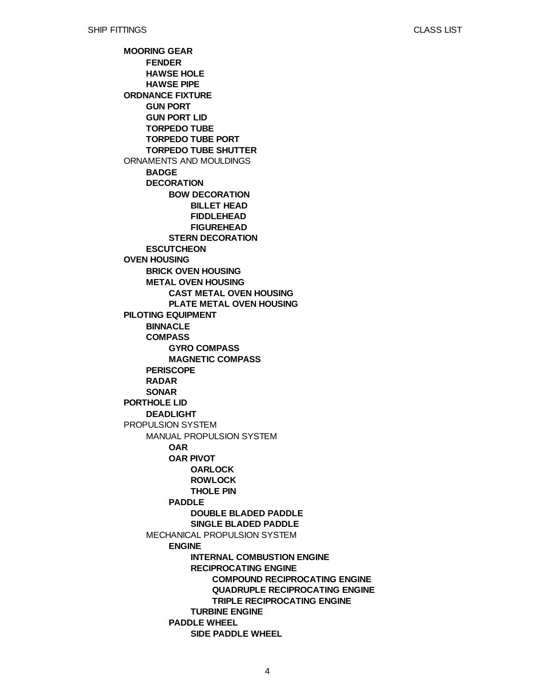CLASS LIST

**MOORING GEAR ORDNANCE FIXTURE** ORNAMENTS AND MOULDINGS **OVEN HOUSING PILOTING EQUIPMENT PORTHOLE LID** PROPULSION SYSTEM **FENDER HAWSE HOLE HAWSE PIPE GUN PORT GUN PORT LID TORPEDO TUBE TORPEDO TUBE PORT TORPEDO TUBE SHUTTER BADGE DECORATION ESCUTCHEON BRICK OVEN HOUSING METAL OVEN HOUSING BINNACLE COMPASS PERISCOPE RADAR SONAR DEADLIGHT** MANUAL PROPULSION SYSTEM MECHANICAL PROPULSION SYSTEM **BOW DECORATION STERN DECORATION CAST METAL OVEN HOUSING PLATE METAL OVEN HOUSING GYRO COMPASS MAGNETIC COMPASS OAR OAR PIVOT PADDLE ENGINE PADDLE WHEEL BILLET HEAD FIDDLEHEAD FIGUREHEAD OARLOCK ROWLOCK THOLE PIN DOUBLE BLADED PADDLE SINGLE BLADED PADDLE INTERNAL COMBUSTION ENGINE RECIPROCATING ENGINE TURBINE ENGINE SIDE PADDLE WHEEL COMPOUND RECIPROCATING ENGINE QUADRUPLE RECIPROCATING ENGINE TRIPLE RECIPROCATING ENGINE**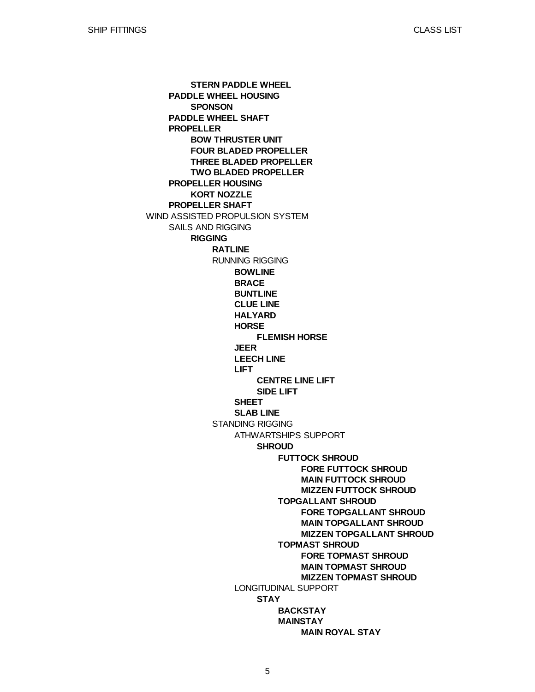CLASS LIST

WIND ASSISTED PROPULSION SYSTEM **PADDLE WHEEL HOUSING PADDLE WHEEL SHAFT PROPELLER PROPELLER HOUSING PROPELLER SHAFT** SAILS AND RIGGING **STERN PADDLE WHEEL SPONSON BOW THRUSTER UNIT FOUR BLADED PROPELLER THREE BLADED PROPELLER TWO BLADED PROPELLER KORT NOZZLE RIGGING RATLINE** RUNNING RIGGING STANDING RIGGING **BOWLINE BRACE BUNTLINE CLUE LINE HALYARD HORSE JEER LEECH LINE LIFT SHEET SLAB LINE** ATHWARTSHIPS SUPPORT LONGITUDINAL SUPPORT **FLEMISH HORSE CENTRE LINE LIFT SIDE LIFT SHROUD STAY FUTTOCK SHROUD TOPGALLANT SHROUD TOPMAST SHROUD BACKSTAY MAINSTAY FORE FUTTOCK SHROUD MAIN FUTTOCK SHROUD MIZZEN FUTTOCK SHROUD FORE TOPGALLANT SHROUD MAIN TOPGALLANT SHROUD MIZZEN TOPGALLANT SHROUD FORE TOPMAST SHROUD MAIN TOPMAST SHROUD MIZZEN TOPMAST SHROUD MAIN ROYAL STAY**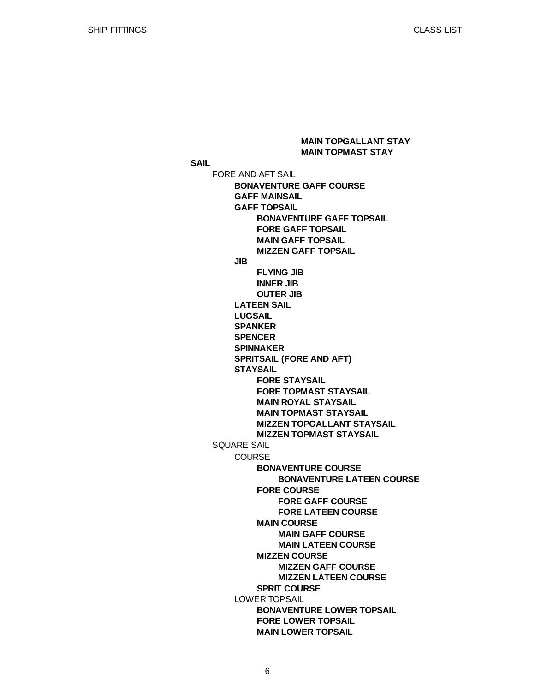**SAIL** FORE AND AFT SAIL SQUARE SAIL **BONAVENTURE GAFF COURSE GAFF MAINSAIL GAFF TOPSAIL JIB LATEEN SAIL LUGSAIL SPANKER SPENCER SPINNAKER SPRITSAIL (FORE AND AFT) STAYSAIL COURSE** LOWER TOPSAIL **BONAVENTURE GAFF TOPSAIL FORE GAFF TOPSAIL MAIN GAFF TOPSAIL MIZZEN GAFF TOPSAIL FLYING JIB INNER JIB OUTER JIB FORE STAYSAIL FORE TOPMAST STAYSAIL MAIN ROYAL STAYSAIL MAIN TOPMAST STAYSAIL MIZZEN TOPGALLANT STAYSAIL MIZZEN TOPMAST STAYSAIL BONAVENTURE COURSE FORE COURSE MAIN COURSE MIZZEN COURSE SPRIT COURSE BONAVENTURE LOWER TOPSAIL FORE LOWER TOPSAIL MAIN LOWER TOPSAIL BONAVENTURE LATEEN COURSE FORE GAFF COURSE FORE LATEEN COURSE MAIN GAFF COURSE MAIN LATEEN COURSE MIZZEN GAFF COURSE MIZZEN LATEEN COURSE MAIN TOPGALLANT STAY MAIN TOPMAST STAY**

6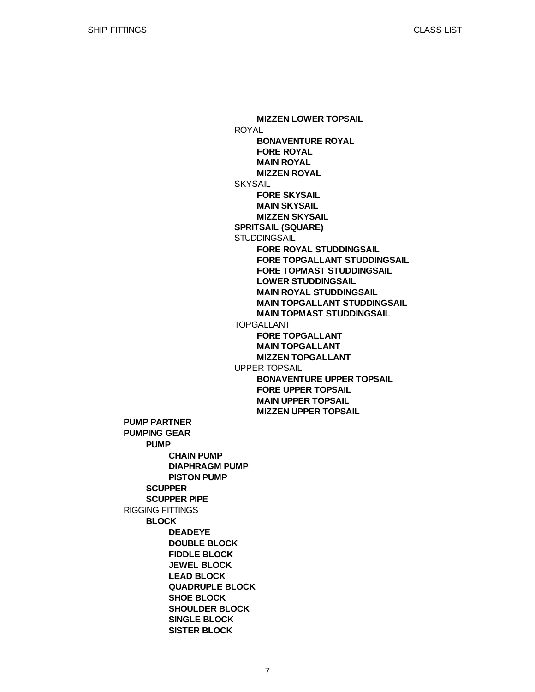**PUMP PARTNER PUMPING GEAR** RIGGING FITTINGS **PUMP SCUPPER SCUPPER PIPE BLOCK CHAIN PUMP DIAPHRAGM PUMP PISTON PUMP DEADEYE DOUBLE BLOCK FIDDLE BLOCK JEWEL BLOCK LEAD BLOCK QUADRUPLE BLOCK SHOE BLOCK SHOULDER BLOCK SINGLE BLOCK SISTER BLOCK** ROYAL **SKYSAIL SPRITSAIL (SQUARE) STUDDINGSAIL** TOPGALLANT UPPER TOPSAIL **MIZZEN LOWER TOPSAIL BONAVENTURE ROYAL FORE ROYAL MAIN ROYAL MIZZEN ROYAL FORE SKYSAIL MAIN SKYSAIL MIZZEN SKYSAIL FORE ROYAL STUDDINGSAIL FORE TOPGALLANT STUDDINGSAIL FORE TOPMAST STUDDINGSAIL LOWER STUDDINGSAIL MAIN ROYAL STUDDINGSAIL MAIN TOPGALLANT STUDDINGSAIL MAIN TOPMAST STUDDINGSAIL FORE TOPGALLANT MAIN TOPGALLANT MIZZEN TOPGALLANT BONAVENTURE UPPER TOPSAIL FORE UPPER TOPSAIL MAIN UPPER TOPSAIL MIZZEN UPPER TOPSAIL**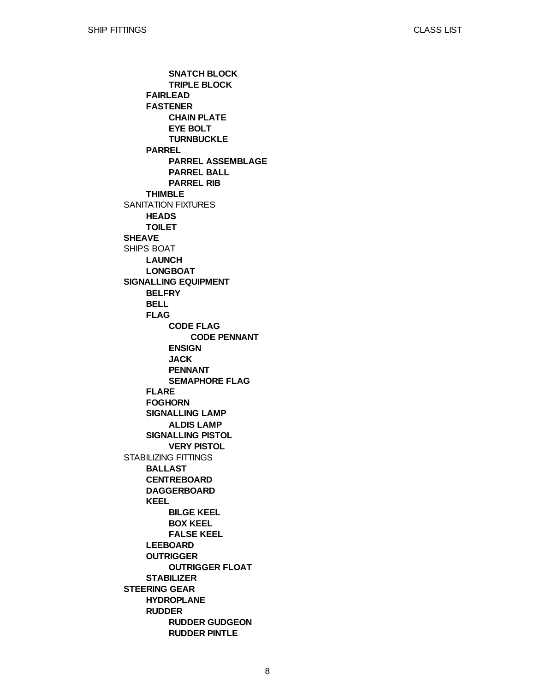SANITATION FIXTURES **SHEAVE** SHIPS BOAT **SIGNALLING EQUIPMENT** STABILIZING FITTINGS **STEERING GEAR FAIRLEAD FASTENER PARREL THIMBLE HEADS TOILET LAUNCH LONGBOAT BELFRY BELL FLAG FLARE FOGHORN SIGNALLING LAMP SIGNALLING PISTOL BALLAST CENTREBOARD DAGGERBOARD KEEL LEEBOARD OUTRIGGER STABILIZER HYDROPLANE RUDDER SNATCH BLOCK TRIPLE BLOCK CHAIN PLATE EYE BOLT TURNBUCKLE PARREL ASSEMBLAGE PARREL BALL PARREL RIB CODE FLAG ENSIGN JACK PENNANT SEMAPHORE FLAG ALDIS LAMP VERY PISTOL BILGE KEEL BOX KEEL FALSE KEEL OUTRIGGER FLOAT RUDDER GUDGEON RUDDER PINTLE CODE PENNANT**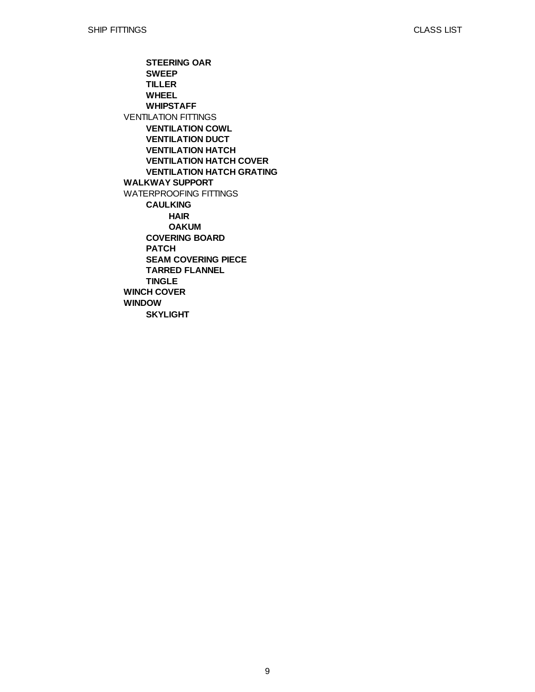VENTILATION FITTINGS **WALKWAY SUPPORT** WATERPROOFING FITTINGS **WINCH COVER WINDOW STEERING OAR SWEEP TILLER WHEEL WHIPSTAFF VENTILATION COWL VENTILATION DUCT VENTILATION HATCH VENTILATION HATCH COVER VENTILATION HATCH GRATING CAULKING COVERING BOARD PATCH SEAM COVERING PIECE TARRED FLANNEL TINGLE SKYLIGHT HAIR OAKUM**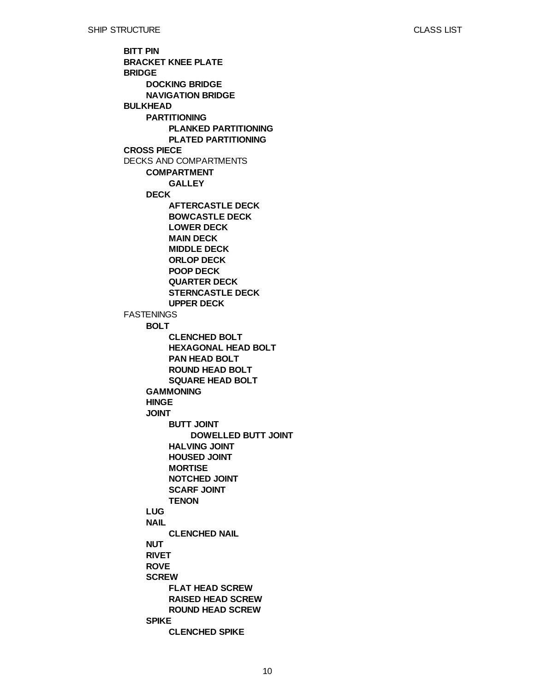**BITT PIN BRACKET KNEE PLATE BRIDGE BULKHEAD CROSS PIECE** DECKS AND COMPARTMENTS **FASTENINGS DOCKING BRIDGE NAVIGATION BRIDGE PARTITIONING COMPARTMENT DECK BOLT GAMMONING HINGE JOINT LUG NAIL NUT RIVET ROVE SCREW SPIKE PLANKED PARTITIONING PLATED PARTITIONING GALLEY AFTERCASTLE DECK BOWCASTLE DECK LOWER DECK MAIN DECK MIDDLE DECK ORLOP DECK POOP DECK QUARTER DECK STERNCASTLE DECK UPPER DECK CLENCHED BOLT HEXAGONAL HEAD BOLT PAN HEAD BOLT ROUND HEAD BOLT SQUARE HEAD BOLT BUTT JOINT HALVING JOINT HOUSED JOINT MORTISE NOTCHED JOINT SCARF JOINT TENON CLENCHED NAIL FLAT HEAD SCREW RAISED HEAD SCREW ROUND HEAD SCREW CLENCHED SPIKE DOWELLED BUTT JOINT**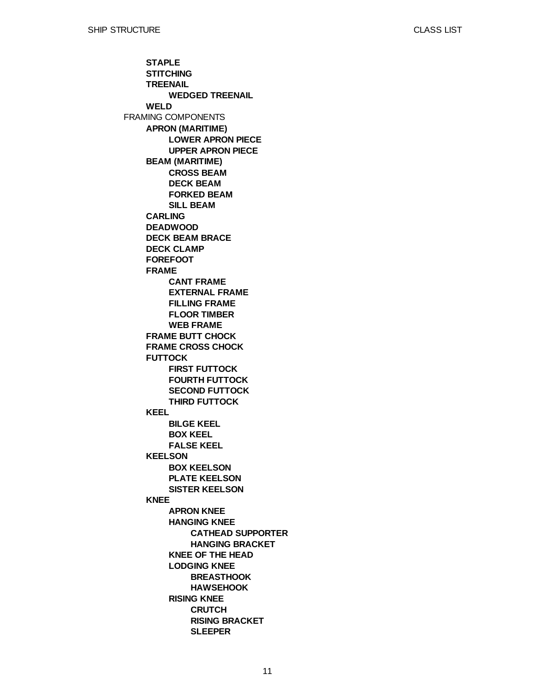FRAMING COMPONENTS **STAPLE STITCHING TREENAIL WELD APRON (MARITIME) BEAM (MARITIME) CARLING DEADWOOD DECK BEAM BRACE DECK CLAMP FOREFOOT FRAME FRAME BUTT CHOCK FRAME CROSS CHOCK FUTTOCK KEEL KEELSON KNEE WEDGED TREENAIL LOWER APRON PIECE UPPER APRON PIECE CROSS BEAM DECK BEAM FORKED BEAM SILL BEAM CANT FRAME EXTERNAL FRAME FILLING FRAME FLOOR TIMBER WEB FRAME FIRST FUTTOCK FOURTH FUTTOCK SECOND FUTTOCK THIRD FUTTOCK BILGE KEEL BOX KEEL FALSE KEEL BOX KEELSON PLATE KEELSON SISTER KEELSON APRON KNEE HANGING KNEE KNEE OF THE HEAD LODGING KNEE RISING KNEE CATHEAD SUPPORTER HANGING BRACKET BREASTHOOK HAWSEHOOK CRUTCH RISING BRACKET SLEEPER**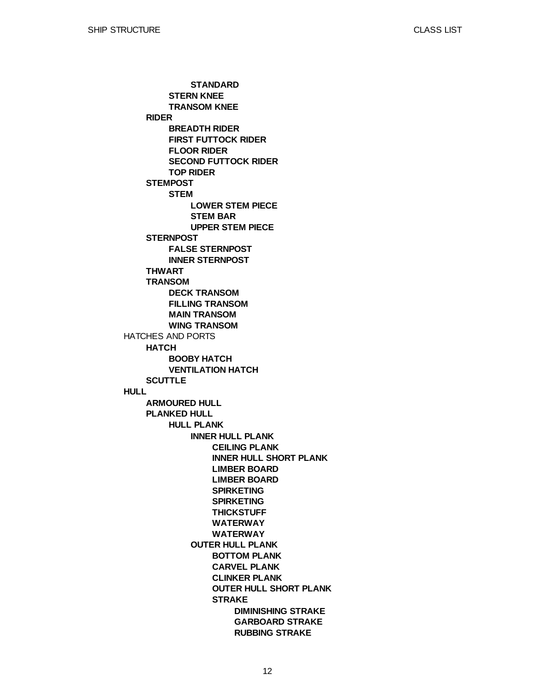HATCHES AND PORTS **HULL RIDER STEMPOST STERNPOST THWART TRANSOM HATCH SCUTTLE ARMOURED HULL PLANKED HULL STERN KNEE TRANSOM KNEE BREADTH RIDER FIRST FUTTOCK RIDER FLOOR RIDER SECOND FUTTOCK RIDER TOP RIDER STEM FALSE STERNPOST INNER STERNPOST DECK TRANSOM FILLING TRANSOM MAIN TRANSOM WING TRANSOM BOOBY HATCH VENTILATION HATCH HULL PLANK STANDARD LOWER STEM PIECE STEM BAR UPPER STEM PIECE INNER HULL PLANK OUTER HULL PLANK CEILING PLANK INNER HULL SHORT PLANK LIMBER BOARD LIMBER BOARD SPIRKETING SPIRKETING THICKSTUFF WATERWAY WATERWAY BOTTOM PLANK CARVEL PLANK CLINKER PLANK OUTER HULL SHORT PLANK STRAKE DIMINISHING STRAKE GARBOARD STRAKE RUBBING STRAKE**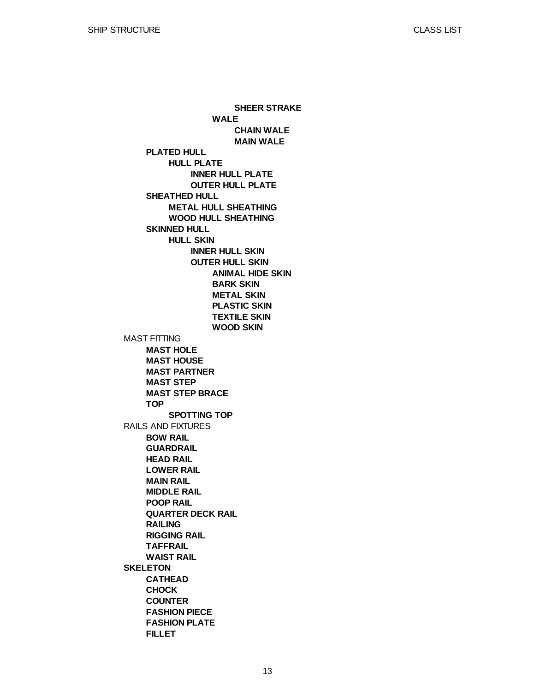MAST FITTING RAILS AND FIXTURES **SKELETON PLATED HULL SHEATHED HULL SKINNED HULL MAST HOLE MAST HOUSE MAST PARTNER MAST STEP MAST STEP BRACE TOP BOW RAIL GUARDRAIL HEAD RAIL LOWER RAIL MAIN RAIL MIDDLE RAIL POOP RAIL QUARTER DECK RAIL RAILING RIGGING RAIL TAFFRAIL WAIST RAIL CATHEAD CHOCK COUNTER FASHION PIECE FASHION PLATE FILLET HULL PLATE METAL HULL SHEATHING WOOD HULL SHEATHING HULL SKIN SPOTTING TOP INNER HULL PLATE OUTER HULL PLATE INNER HULL SKIN OUTER HULL SKIN WALE ANIMAL HIDE SKIN BARK SKIN METAL SKIN PLASTIC SKIN TEXTILE SKIN WOOD SKIN SHEER STRAKE CHAIN WALE MAIN WALE**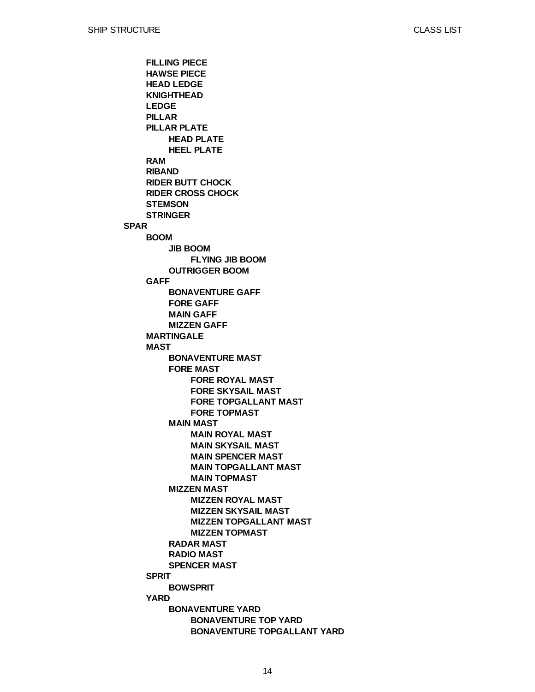**SPAR FILLING PIECE HAWSE PIECE HEAD LEDGE KNIGHTHEAD LEDGE PILLAR PILLAR PLATE RAM RIBAND RIDER BUTT CHOCK RIDER CROSS CHOCK STEMSON STRINGER BOOM GAFF MARTINGALE MAST SPRIT YARD HEAD PLATE HEEL PLATE JIB BOOM OUTRIGGER BOOM BONAVENTURE GAFF FORE GAFF MAIN GAFF MIZZEN GAFF BONAVENTURE MAST FORE MAST MAIN MAST MIZZEN MAST RADAR MAST RADIO MAST SPENCER MAST BOWSPRIT BONAVENTURE YARD FLYING JIB BOOM FORE ROYAL MAST FORE SKYSAIL MAST FORE TOPGALLANT MAST FORE TOPMAST MAIN ROYAL MAST MAIN SKYSAIL MAST MAIN SPENCER MAST MAIN TOPGALLANT MAST MAIN TOPMAST MIZZEN ROYAL MAST MIZZEN SKYSAIL MAST MIZZEN TOPGALLANT MAST MIZZEN TOPMAST BONAVENTURE TOP YARD BONAVENTURE TOPGALLANT YARD**